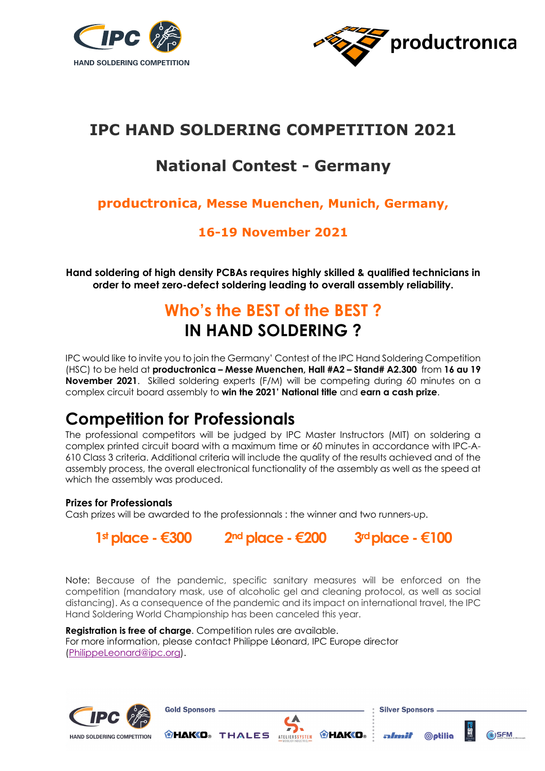



# **IPC HAND SOLDERING COMPETITION 2021**

## **National Contest - Germany**

### **productronica, Messe Muenchen, Munich, Germany,**

### **16-19 November 2021**

**Hand soldering of high density PCBAs requires highly skilled & qualified technicians in order to meet zero-defect soldering leading to overall assembly reliability.**

# **Who's the BEST of the BEST ? IN HAND SOLDERING ?**

IPC would like to invite you to join the Germany' Contest of the IPC Hand Soldering Competition (HSC) to be held at **productronica – Messe Muenchen, Hall #A2 – Stand# A2.300** from **16 au 19 November 2021**. Skilled soldering experts (F/M) will be competing during 60 minutes on a complex circuit board assembly to **win the 2021' National title** and **earn a cash prize**.

## **Competition for Professionals**

The professional competitors will be judged by IPC Master Instructors (MIT) on soldering a complex printed circuit board with a maximum time or 60 minutes in accordance with IPC-A-610 Class 3 criteria. Additional criteria will include the quality of the results achieved and of the assembly process, the overall electronical functionality of the assembly as well as the speed at which the assembly was produced.

#### **Prizes for Professionals**

Cash prizes will be awarded to the professionnals : the winner and two runners-up.

**1st place -€300 2nd place -€200 3rdplace -€100**

Note: Because of the pandemic, specific sanitary measures will be enforced on the competition (mandatory mask, use of alcoholic gel and cleaning protocol, as well as social distancing). As a consequence of the pandemic and its impact on international travel, the IPC Hand Soldering World Championship has been canceled this year.

**Registration is free of charge**. Competition rules are available. For more information, please contact Philippe Léonard, IPC Europe director (PhilippeLeonard@ipc.org).





**Gold Sponsors.** 

**@HAKO**® THALES **ATELIERSYSTEM** @HAKO®

**Silver Sponsors** 

almit

**©ptilia**